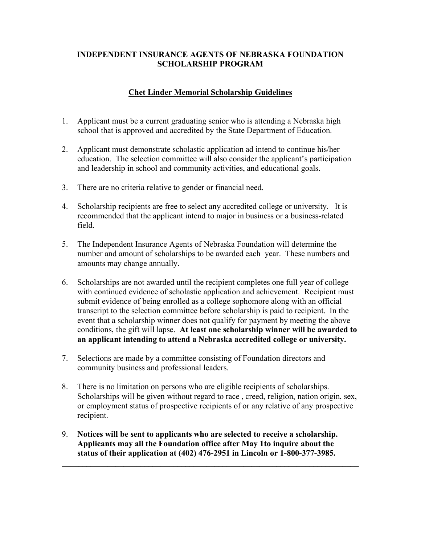## **INDEPENDENT INSURANCE AGENTS OF NEBRASKA FOUNDATION SCHOLARSHIP PROGRAM**

# **Chet Linder Memorial Scholarship Guidelines**

- 1. Applicant must be a current graduating senior who is attending a Nebraska high school that is approved and accredited by the State Department of Education.
- 2. Applicant must demonstrate scholastic application ad intend to continue his/her education. The selection committee will also consider the applicant's participation and leadership in school and community activities, and educational goals.
- 3. There are no criteria relative to gender or financial need.
- 4. Scholarship recipients are free to select any accredited college or university. It is recommended that the applicant intend to major in business or a business-related field.
- 5. The Independent Insurance Agents of Nebraska Foundation will determine the number and amount of scholarships to be awarded each year. These numbers and amounts may change annually.
- 6. Scholarships are not awarded until the recipient completes one full year of college with continued evidence of scholastic application and achievement. Recipient must submit evidence of being enrolled as a college sophomore along with an official transcript to the selection committee before scholarship is paid to recipient. In the event that a scholarship winner does not qualify for payment by meeting the above conditions, the gift will lapse. **At least one scholarship winner will be awarded to an applicant intending to attend a Nebraska accredited college or university.**
- 7. Selections are made by a committee consisting of Foundation directors and community business and professional leaders.
- 8. There is no limitation on persons who are eligible recipients of scholarships. Scholarships will be given without regard to race, creed, religion, nation origin, sex, or employment status of prospective recipients of or any relative of any prospective recipient.

 $\mathcal{L}_\mathcal{L} = \{ \mathcal{L}_\mathcal{L} = \{ \mathcal{L}_\mathcal{L} = \{ \mathcal{L}_\mathcal{L} = \{ \mathcal{L}_\mathcal{L} = \{ \mathcal{L}_\mathcal{L} = \{ \mathcal{L}_\mathcal{L} = \{ \mathcal{L}_\mathcal{L} = \{ \mathcal{L}_\mathcal{L} = \{ \mathcal{L}_\mathcal{L} = \{ \mathcal{L}_\mathcal{L} = \{ \mathcal{L}_\mathcal{L} = \{ \mathcal{L}_\mathcal{L} = \{ \mathcal{L}_\mathcal{L} = \{ \mathcal{L}_\mathcal{$ 

9. **Notices will be sent to applicants who are selected to receive a scholarship. Applicants may all the Foundation office after May 1to inquire about the status of their application at (402) 476-2951 in Lincoln or 1-800-377-3985.**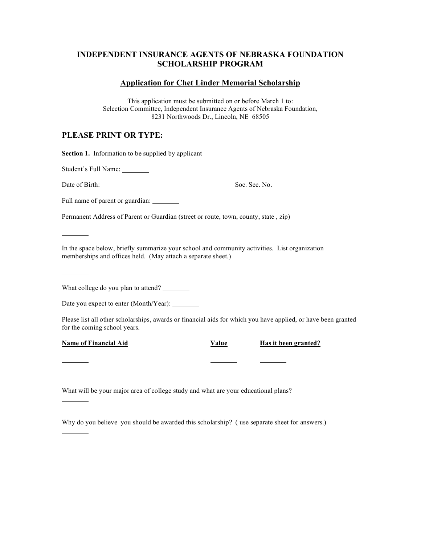#### **INDEPENDENT INSURANCE AGENTS OF NEBRASKA FOUNDATION SCHOLARSHIP PROGRAM**

#### **Application for Chet Linder Memorial Scholarship**

This application must be submitted on or before March 1 to: Selection Committee, Independent Insurance Agents of Nebraska Foundation, 8231 Northwoods Dr., Lincoln, NE 68505

### **PLEASE PRINT OR TYPE:**

**Section 1.** Information to be supplied by applicant

Student's Full Name:

Date of Birth: Soc. Sec. No.

Full name of parent or guardian: \_\_\_\_\_

Permanent Address of Parent or Guardian (street or route, town, county, state , zip)

In the space below, briefly summarize your school and community activities. List organization memberships and offices held. (May attach a separate sheet.)

What college do you plan to attend?

Date you expect to enter (Month/Year): \_\_\_\_\_\_\_\_

Please list all other scholarships, awards or financial aids for which you have applied, or have been granted for the coming school years.

**Name of Financial Aid Value Has it been granted?**

What will be your major area of college study and what are your educational plans?

Why do you believe you should be awarded this scholarship? ( use separate sheet for answers.)